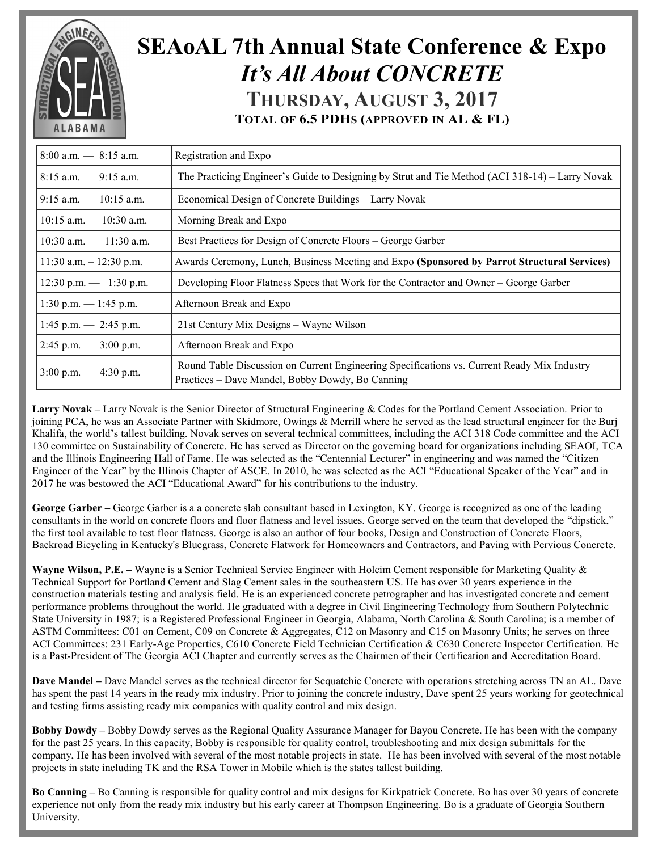

## **SEAoAL 7th Annual State Conference & Expo** *It's All About CONCRETE* **THURSDAY, AUGUST 3, 2017 TOTAL OF 6.5 PDHS (APPROVED IN AL & FL)**

| $8:00$ a.m. $- 8:15$ a.m.                          | Registration and Expo                                                                                                                           |  |  |
|----------------------------------------------------|-------------------------------------------------------------------------------------------------------------------------------------------------|--|--|
| $8:15$ a.m. $-9:15$ a.m.                           | The Practicing Engineer's Guide to Designing by Strut and Tie Method (ACI 318-14) – Larry Novak                                                 |  |  |
| $9:15$ a.m. $-10:15$ a.m.                          | Economical Design of Concrete Buildings – Larry Novak                                                                                           |  |  |
| $10:15$ a.m. $-10:30$ a.m.                         | Morning Break and Expo                                                                                                                          |  |  |
| $10:30$ a.m. $- 11:30$ a.m.                        | Best Practices for Design of Concrete Floors – George Garber                                                                                    |  |  |
| 11:30 a.m. $- 12:30$ p.m.                          | Awards Ceremony, Lunch, Business Meeting and Expo (Sponsored by Parrot Structural Services)                                                     |  |  |
| $12:30 \text{ p.m.} \rightarrow 1:30 \text{ p.m.}$ | Developing Floor Flatness Specs that Work for the Contractor and Owner – George Garber                                                          |  |  |
| $1:30$ p.m. $-1:45$ p.m.                           | Afternoon Break and Expo                                                                                                                        |  |  |
| $1:45$ p.m. $-2:45$ p.m.                           | 21st Century Mix Designs – Wayne Wilson                                                                                                         |  |  |
| $2:45$ p.m. $-3:00$ p.m.                           | Afternoon Break and Expo                                                                                                                        |  |  |
| $3:00 \text{ p.m.} \rightarrow 4:30 \text{ p.m.}$  | Round Table Discussion on Current Engineering Specifications vs. Current Ready Mix Industry<br>Practices – Dave Mandel, Bobby Dowdy, Bo Canning |  |  |

**Larry Novak –** Larry Novak is the Senior Director of Structural Engineering & Codes for the Portland Cement Association. Prior to joining PCA, he was an Associate Partner with Skidmore, Owings & Merrill where he served as the lead structural engineer for the Burj Khalifa, the world's tallest building. Novak serves on several technical committees, including the ACI 318 Code committee and the ACI 130 committee on Sustainability of Concrete. He has served as Director on the governing board for organizations including SEAOI, TCA and the Illinois Engineering Hall of Fame. He was selected as the "Centennial Lecturer" in engineering and was named the "Citizen Engineer of the Year" by the Illinois Chapter of ASCE. In 2010, he was selected as the ACI "Educational Speaker of the Year" and in 2017 he was bestowed the ACI "Educational Award" for his contributions to the industry.

**George Garber –** George Garber is a a concrete slab consultant based in Lexington, KY. George is recognized as one of the leading consultants in the world on concrete floors and floor flatness and level issues. George served on the team that developed the "dipstick," the first tool available to test floor flatness. George is also an author of four books, Design and Construction of Concrete Floors, Backroad Bicycling in Kentucky's Bluegrass, Concrete Flatwork for Homeowners and Contractors, and Paving with Pervious Concrete.

**Wayne Wilson, P.E. –** Wayne is a Senior Technical Service Engineer with Holcim Cement responsible for Marketing Quality & Technical Support for Portland Cement and Slag Cement sales in the southeastern US. He has over 30 years experience in the construction materials testing and analysis field. He is an experienced concrete petrographer and has investigated concrete and cement performance problems throughout the world. He graduated with a degree in Civil Engineering Technology from Southern Polytechnic State University in 1987; is a Registered Professional Engineer in Georgia, Alabama, North Carolina & South Carolina; is a member of ASTM Committees: C01 on Cement, C09 on Concrete & Aggregates, C12 on Masonry and C15 on Masonry Units; he serves on three ACI Committees: 231 Early-Age Properties, C610 Concrete Field Technician Certification & C630 Concrete Inspector Certification. He is a Past-President of The Georgia ACI Chapter and currently serves as the Chairmen of their Certification and Accreditation Board.

**Dave Mandel –** Dave Mandel serves as the technical director for Sequatchie Concrete with operations stretching across TN an AL. Dave has spent the past 14 years in the ready mix industry. Prior to joining the concrete industry, Dave spent 25 years working for geotechnical and testing firms assisting ready mix companies with quality control and mix design.

**Bobby Dowdy –** Bobby Dowdy serves as the Regional Quality Assurance Manager for Bayou Concrete. He has been with the company for the past 25 years. In this capacity, Bobby is responsible for quality control, troubleshooting and mix design submittals for the company, He has been involved with several of the most notable projects in state. He has been involved with several of the most notable projects in state including TK and the RSA Tower in Mobile which is the states tallest building.

**Bo Canning –** Bo Canning is responsible for quality control and mix designs for Kirkpatrick Concrete. Bo has over 30 years of concrete experience not only from the ready mix industry but his early career at Thompson Engineering. Bo is a graduate of Georgia Southern University.